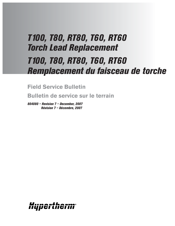# *T100, T80, RT80, T60, RT60 Torch Lead Replacement T100, T80, RT80, T60, RT60 Remplacement du faisceau de torche*

**Field Service Bulletin**

**Bulletin de service sur le terrain**

*804080 – Revision 7 – December, 2007 Révision 7 – Décembre, 2007*

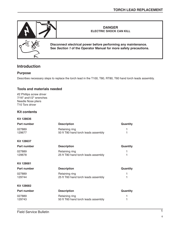

## **Introduction**

#### **Purpose**

Describes necessary steps to replace the torch lead in the T100, T80, RT80, T60 hand torch leads assembly.

#### **Tools and materials needed**

#2 Phillips screw driver 7/16" and1/2" wrenches Needle Nose pliers T10 Torx driver

## **Kit contents**

**Kit 128636**

| Part number        | <b>Description</b>                                    | Quantity |
|--------------------|-------------------------------------------------------|----------|
| 027889<br>129677   | Retaining ring<br>50 ft T80 hand torch leads assembly |          |
| <b>Kit 128637</b>  |                                                       |          |
| <b>Part number</b> | <b>Description</b>                                    | Quantity |
| 027889<br>129678   | Retaining ring<br>25 ft T80 hand torch leads assembly | 1<br>1   |
| <b>Kit 128681</b>  |                                                       |          |
| Part number        | <b>Description</b>                                    | Quantity |
| 027889<br>129744   | Retaining ring<br>25 ft T60 hand torch leads assembly |          |
| <b>Kit 128682</b>  |                                                       |          |
| Part number        | <b>Description</b>                                    | Quantity |
| 027889<br>129743   | Retaining ring<br>50 ft T60 hand torch leads assembly | 1        |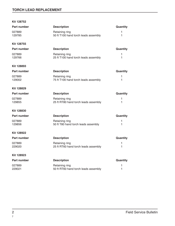## **TORCH LEAD REPLACEMENT**

#### **Kit 128752**

| <b>Part number</b> | <b>Description</b>                                     | Quantity          |
|--------------------|--------------------------------------------------------|-------------------|
| 027889<br>129785   | Retaining ring<br>50 ft T100 hand torch leads assembly | 1<br>1            |
| <b>Kit 128755</b>  |                                                        |                   |
| <b>Part number</b> | <b>Description</b>                                     | Quantity          |
| 027889<br>129766   | Retaining ring<br>25 ft T100 hand torch leads assembly | 1<br>1            |
| Kit 128893         |                                                        |                   |
| Part number        | <b>Description</b>                                     | Quantity          |
| 027889<br>129002   | Retaining ring<br>75 ft T100 hand torch leads assembly | 1<br>1            |
| <b>Kit 128829</b>  |                                                        |                   |
| <b>Part number</b> | <b>Description</b>                                     | Quantity          |
| 027889<br>129855   | Retaining ring<br>25 ft RT80 hand torch leads assembly | 1<br>$\mathbf{1}$ |
| <b>Kit 128830</b>  |                                                        |                   |
| Part number        | <b>Description</b>                                     | Quantity          |
| 027889<br>129856   | Retaining ring<br>50 ft T80 hand torch leads assembly  | 1<br>1            |
| <b>Kit 128922</b>  |                                                        |                   |
| <b>Part number</b> | <b>Description</b>                                     | Quantity          |
| 027889<br>229020   | Retaining ring<br>25 ft RT60 hand torch leads assembly | 1<br>1            |
| Kit 128923         |                                                        |                   |
| <b>Part number</b> | <b>Description</b>                                     | Quantity          |
| 027889<br>229021   | Retaining ring<br>50 ft RT60 hand torch leads assembly | 1<br>1            |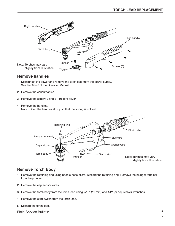

## **Remove handles**

- 1. Disconnect the power and remove the torch lead from the power supply. See Section 3 of the Operator Manual.
- 2. Remove the consumables.
- 3. Remove the screws using a T10 Torx driver.
- 4. Remove the handles. Note: Open the handles slowly so that the spring is not lost.



# **Remove Torch Body**

- 1. Remove the retaining ring using needle nose pliers. Discard the retaining ring. Remove the plunger terminal from the plunger.
- 2. Remove the cap sensor wires.
- 3. Remove the torch body from the torch lead using 7/16" (11 mm) and 1/2" (or adjustable) wrenches.
- 4. Remove the start switch from the torch lead.
- 5. Discard the torch lead.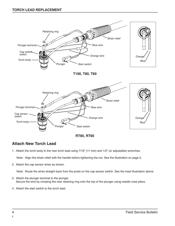

**RT80, RT60**

# **Attach New Torch Lead**

1. Attach the torch body to the new torch lead using 7/16" (11 mm) and 1/2" (or adjustable) wrenches.

Note: Align the strain relief with the handle before tightening the nut. See the illustration on page 5.

2. Attach the cap sensor wires as shown.

Note: Route the wires straight back from the posts on the cap sensor switch. See the inset illustration above.

- 3. Attach the plunger terminal to the plunger. Secure the wire by crimping the new retaining ring onto the top of the plunger using needle nose pliers.
- 4. Attach the start switch to the torch lead.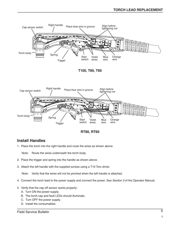



## **Install Handles**

1. Place the torch into the right handle and route the wires as shown above.

Note: Route the wires underneath the torch body.

- 2. Place the trigger and spring into the handle as shown above.
- 3. Attach the left handle with the supplied screws using a T10 Torx driver.

Note: Verify that the wires will not be pinched when the left handle is attached.

- 4. Connect the torch lead to the power supply and connect the power. See Section 3 of the Operator Manual.
- 5. Verify that the cap off sensor works properly:
	- A. Turn ON the power supply.
	- B. The torch cap and fault LEDs should illuminate.
	- C. Turn OFF the power supply.
	- D. Install the consumables.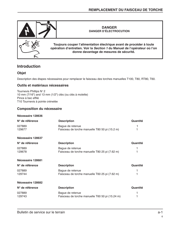

## **Introduction**

## **Objet**

Description des étapes nécessaires pour remplacer le faisceau des torches manuelles T100, T80, RT80, T60.

#### **Outils et matériaux nécessaires**

Tournevis Phillips N° 2 10 mm (7/16") and 13 mm (1/2") clés (ou clés à molette) Pince à bec effilé T10 Tournevis à pointe crénelée

## **Composition du nécessaire**

#### **Nécessaire 128636**

| N° de référence   | <b>Description</b>                                                  | Quantité |
|-------------------|---------------------------------------------------------------------|----------|
| 027889<br>129677  | Bague de retenue<br>Faisceau de torche manuelle T80 50 pi (15.2 m)  |          |
| Nécessaire 128637 |                                                                     |          |
| N° de référence   | <b>Description</b>                                                  | Quantité |
| 027889<br>129678  | Bague de retenue<br>Faisceau de torche manuelle T80 25 pi (7.62 m)  |          |
| Nécessaire 128681 |                                                                     |          |
| N° de référence   | <b>Description</b>                                                  | Quantité |
| 027889<br>129744  | Bague de retenue<br>Faisceau de torche manuelle T60 25 pi (7.62 m)  |          |
| Nécessaire 128682 |                                                                     |          |
| N° de référence   | <b>Description</b>                                                  | Quantité |
| 027889<br>129743  | Bague de retenue<br>Faisceau de torche manuelle T60 50 pi (15.24 m) |          |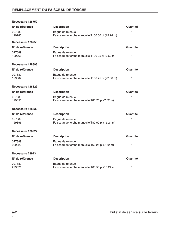| Nécessaire 128752 |                                                                      |          |
|-------------------|----------------------------------------------------------------------|----------|
| N° de référence   | <b>Description</b>                                                   | Quantité |
| 027889<br>129785  | Bague de retenue<br>Faisceau de torche manuelle T100 50 pi (15.24 m) | 1<br>1   |
| Nécessaire 128755 |                                                                      |          |
| N° de référence   | <b>Description</b>                                                   | Quantité |
| 027889<br>129766  | Bague de retenue<br>Faisceau de torche manuelle T100 25 pi (7.62 m)  | 1<br>1   |
| Nécessaire 128893 |                                                                      |          |
| N° de référence   | <b>Description</b>                                                   | Quantité |
| 027889<br>129002  | Bague de retenue<br>Faisceau de torche manuelle T100 75 pi (22.86 m) | 1<br>1   |
| Nécessaire 128829 |                                                                      |          |
| N° de référence   | <b>Description</b>                                                   | Quantité |
| 027889<br>129855  | Bague de retenue<br>Faisceau de torche manuelle T80 25 pi (7.62 m)   | 1<br>1   |
| Nécessaire 128830 |                                                                      |          |
| N° de référence   | <b>Description</b>                                                   | Quantité |
| 027889<br>129856  | Bague de retenue<br>Faisceau de torche manuelle T80 50 pi (15.24 m)  | 1<br>1   |
| Nécessaire 128922 |                                                                      |          |
| N° de référence   | <b>Description</b>                                                   | Quantité |
| 027889<br>229020  | Bague de retenue<br>Faisceau de torche manuelle T60 25 pi (7.62 m)   | 1<br>1   |
| Nécessaire 28923  |                                                                      |          |
| N° de référence   | <b>Description</b>                                                   | Quantité |
| 027889<br>229021  | Bague de retenue<br>Faisceau de torche manuelle T60 50 pi (15.24 m)  | 1<br>1   |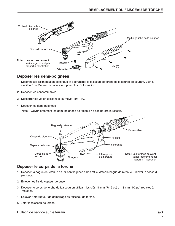

# **Déposer les demi-poignées**

- 1. Déconnecter l'alimentation électrique et débrancher le faisceau de torche de la source de courant. Voir la Section 3 du Manuel de l'opérateur pour plus d'information.
- 2. Déposer les consommables.
- 3. Desserrer les vis en utilisant le tournevis Torx T10.
- 4. Déposer les demi-poignées.

Note : Ouvrir lentement les demi-poignées de façon à ne pas perdre le ressort.



# **Déposer le corps de la torche**

- 1. Déposer la bague de retenue en utilisant la pince à bec effilé. Jeter la bague de retenue. Enlever la cosse du plongeur.
- 2. Enlever les fils du capteur de buse.
- 3. Déposer le corps de torche du faisceau en utilisant les clés 11 mm (7/16 po) et 13 mm (1/2 po) (ou clés à molette).
- 4. Enlever l'interrupteur de démarrage du faisceau de torche.
- 5. Jeter le faisceau de torche.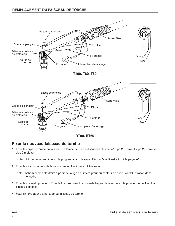

**RT80, RT60**

# **Fixer le nouveau faisceau de torche**

1. Fixer le corps de torche au faisceau de torche neuf en utilisant des clés de 7/16 po (10 mm) et ? po (13 mm) (ou clés à molette).

Note : Aligner le serre-câble sur la poignée avant de serrer l'écrou. Voir l'illustration à la page a-5.

2. Fixer les fils du capteur de buse comme on l'indique sur l'illustration.

Note : Acheminer les fils droits à partir de la tige de l'interrupteur du capteur de buse. Voir l'illustration dans l'encadré.

- 3. Fixer la cosse du plongeur. Fixer le fil en sertissant la nouvelle bague de retenue sur le plongeur en utilisant la pince à bec effilé.
- 4. Fixer l'interrupteur d'amorçage au faisceau de torche.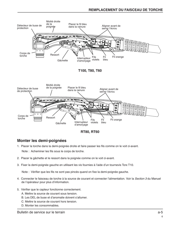



# **Monter les demi-poignées**

1. Placer la torche dans la demi-poignée droite et faire passer les fils comme on le voit ci-avant.

Note : Acheminer les fils sous le corps de torche.

- 2. Placer la gâchette et le ressort dans la poignée comme on le voit ci-avant.
- 3. Fixer la demi-poignée gauche en utilisant les vis fournies à l'aide d'un tournevis Torx T10.

Note : Vérifier que les fils ne sont pas pincés quand on fixe la demi-poignée gauche.

- 4. Connecter le faisceau de torche à la source de courant et connecter l'alimentation. Voir la Section 3 du Manuel de l'opérateur pour plus d'information.
- 5. Vérifier que le capteur fonctionne correctement.
	- A. Mettre la source de courant sous tension.
	- B. Les DEL de buse et d'anomalie doivent s'allumer.
	- C. Mettre la source de courant hors tension.
	- D. Monter les consommables.